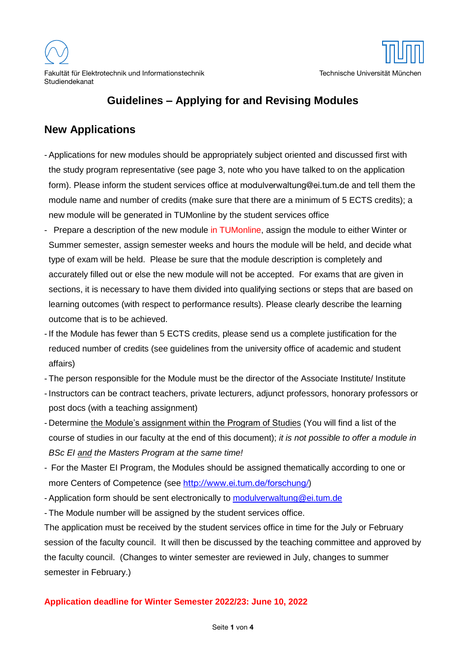

# **Guidelines – Applying for and Revising Modules**

## **New Applications**

- Applications for new modules should be appropriately subject oriented and discussed first with the study program representative (see page 3, note who you have talked to on the application form). Please inform the student services office at [modulverwaltung@ei.tum.de](mailto:modulverwaltung@ei.tum.de) and tell them the module name and number of credits (make sure that there are a minimum of 5 ECTS credits); a new module will be generated in TUMonline by the student services office
- Prepare a description of the new module in TUMonline, assign the module to either Winter or Summer semester, assign semester weeks and hours the module will be held, and decide what type of exam will be held. Please be sure that the module description is completely and accurately filled out or else the new module will not be accepted. For exams that are given in sections, it is necessary to have them divided into qualifying sections or steps that are based on learning outcomes (with respect to performance results). Please clearly describe the learning outcome that is to be achieved.
- If the Module has fewer than 5 ECTS credits, please send us a complete justification for the reduced number of credits (see guidelines from the university office of academic and student affairs)
- The person responsible for the Module must be the director of the Associate Institute/ Institute
- Instructors can be contract teachers, private lecturers, adjunct professors, honorary professors or post docs (with a teaching assignment)
- Determine the Module's assignment within the Program of Studies (You will find a list of the course of studies in our faculty at the end of this document); *it is not possible to offer a module in BSc EI and the Masters Program at the same time!*
- For the Master EI Program, the Modules should be assigned thematically according to one or more Centers of Competence (see [http://www.ei.tum.de/forschung/\)](http://www.ei.tum.de/forschung/)
- Application form should be sent electronically to [modulverwaltung@ei.tum.de](mailto:modulverwaltung@ei.tum.de)
- The Module number will be assigned by the student services office.

The application must be received by the student services office in time for the July or February session of the faculty council. It will then be discussed by the teaching committee and approved by the faculty council. (Changes to winter semester are reviewed in July, changes to summer semester in February.)

#### **Application deadline for Winter Semester 2022/23: June 10, 2022**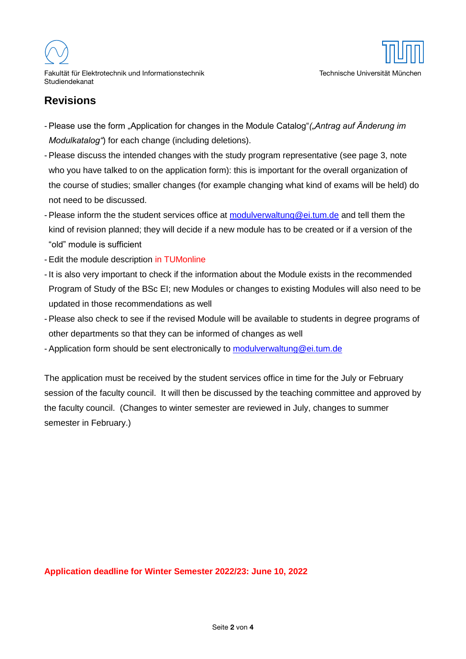

## **Revisions**

- Please use the form "Application for changes in the Module Catalog"*("Antrag auf Änderung im Modulkatalog"*) for each change (including deletions).
- Please discuss the intended changes with the study program representative (see page 3, note who you have talked to on the application form): this is important for the overall organization of the course of studies; smaller changes (for example changing what kind of exams will be held) do not need to be discussed.
- Please inform the the student services office at [modulverwaltung@ei.tum.de](mailto:modulverwaltung@ei.tum.de) and tell them the kind of revision planned; they will decide if a new module has to be created or if a version of the "old" module is sufficient
- Edit the module description in TUMonline
- It is also very important to check if the information about the Module exists in the recommended Program of Study of the BSc EI; new Modules or changes to existing Modules will also need to be updated in those recommendations as well
- Please also check to see if the revised Module will be available to students in degree programs of other departments so that they can be informed of changes as well
- Application form should be sent electronically to [modulverwaltung@ei.tum.de](mailto:modulverwaltung@ei.tum.de)

The application must be received by the student services office in time for the July or February session of the faculty council. It will then be discussed by the teaching committee and approved by the faculty council. (Changes to winter semester are reviewed in July, changes to summer semester in February.)

**Application deadline for Winter Semester 2022/23: June 10, 2022**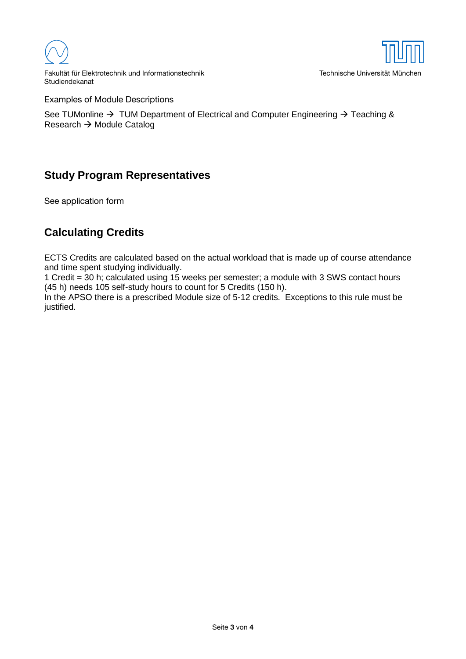

Fakultät für Elektrotechnik und Informationstechnik Technische Universität München Studiendekanat

Examples of Module Descriptions

See TUMonline  $\rightarrow$  TUM Department of Electrical and Computer Engineering  $\rightarrow$  Teaching & Research  $\rightarrow$  Module Catalog

## **Study Program Representatives**

See application form

## **Calculating Credits**

ECTS Credits are calculated based on the actual workload that is made up of course attendance and time spent studying individually.

1 Credit = 30 h; calculated using 15 weeks per semester; a module with 3 SWS contact hours (45 h) needs 105 self-study hours to count for 5 Credits (150 h).

In the APSO there is a prescribed Module size of 5-12 credits. Exceptions to this rule must be justified.